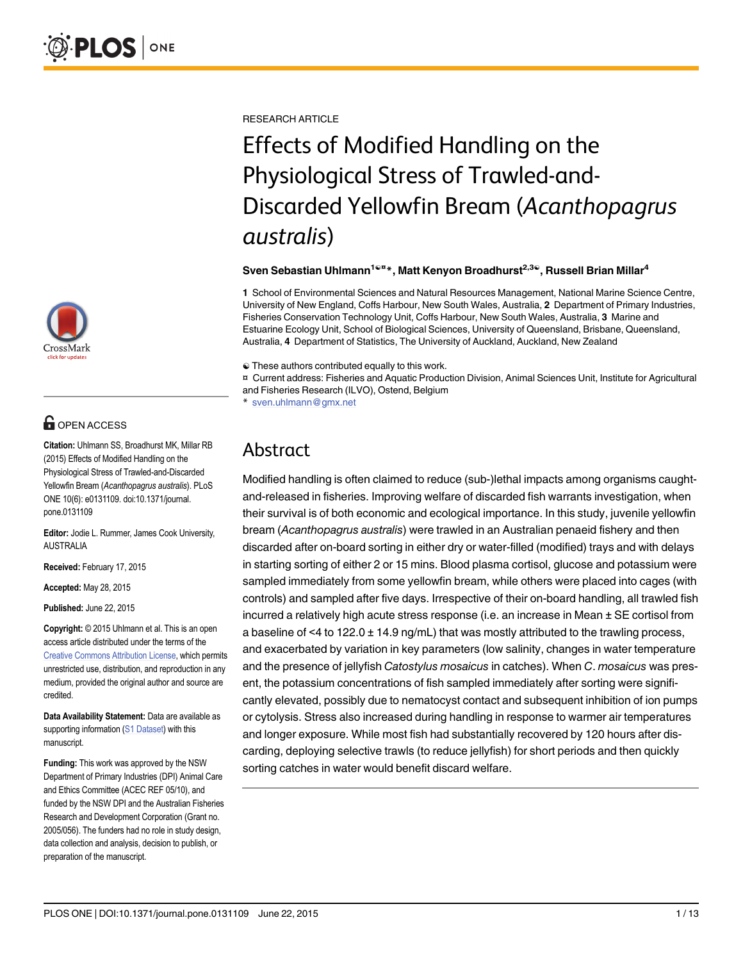

# **OPEN ACCESS**

Citation: Uhlmann SS, Broadhurst MK, Millar RB (2015) Effects of Modified Handling on the Physiological Stress of Trawled-and-Discarded Yellowfin Bream (Acanthopagrus australis). PLoS ONE 10(6): e0131109. doi:10.1371/journal. pone.0131109

Editor: Jodie L. Rummer, James Cook University, AUSTRALIA

Received: February 17, 2015

Accepted: May 28, 2015

Published: June 22, 2015

Copyright: © 2015 Uhlmann et al. This is an open access article distributed under the terms of the [Creative Commons Attribution License,](http://creativecommons.org/licenses/by/4.0/) which permits unrestricted use, distribution, and reproduction in any medium, provided the original author and source are credited.

Data Availability Statement: Data are available as supporting information ([S1 Dataset\)](#page-10-0) with this manuscript.

Funding: This work was approved by the NSW Department of Primary Industries (DPI) Animal Care and Ethics Committee (ACEC REF 05/10), and funded by the NSW DPI and the Australian Fisheries Research and Development Corporation (Grant no. 2005/056). The funders had no role in study design, data collection and analysis, decision to publish, or preparation of the manuscript.

RESEARCH ARTICLE

# Effects of Modified Handling on the Physiological Stress of Trawled-and-Discarded Yellowfin Bream (Acanthopagrus australis)

Sven Sebastian Uhlmann<sup>1ଢ¤</sup> \*, Matt Kenyon Broadhurst<sup>2,3ଢ</sup>, Russell Brian Millar<sup>4</sup>

1 School of Environmental Sciences and Natural Resources Management, National Marine Science Centre, University of New England, Coffs Harbour, New South Wales, Australia, 2 Department of Primary Industries, Fisheries Conservation Technology Unit, Coffs Harbour, New South Wales, Australia, 3 Marine and Estuarine Ecology Unit, School of Biological Sciences, University of Queensland, Brisbane, Queensland, Australia, 4 Department of Statistics, The University of Auckland, Auckland, New Zealand

☯ These authors contributed equally to this work.

¤ Current address: Fisheries and Aquatic Production Division, Animal Sciences Unit, Institute for Agricultural and Fisheries Research (ILVO), Ostend, Belgium

sven.uhlmann@gmx.net

# Abstract

Modified handling is often claimed to reduce (sub-)lethal impacts among organisms caughtand-released in fisheries. Improving welfare of discarded fish warrants investigation, when their survival is of both economic and ecological importance. In this study, juvenile yellowfin bream (Acanthopagrus australis) were trawled in an Australian penaeid fishery and then discarded after on-board sorting in either dry or water-filled (modified) trays and with delays in starting sorting of either 2 or 15 mins. Blood plasma cortisol, glucose and potassium were sampled immediately from some yellowfin bream, while others were placed into cages (with controls) and sampled after five days. Irrespective of their on-board handling, all trawled fish incurred a relatively high acute stress response (i.e. an increase in Mean ± SE cortisol from a baseline of  $\leq 4$  to 122.0  $\pm$  14.9 ng/mL) that was mostly attributed to the trawling process, and exacerbated by variation in key parameters (low salinity, changes in water temperature and the presence of jellyfish Catostylus mosaicus in catches). When C. mosaicus was present, the potassium concentrations of fish sampled immediately after sorting were significantly elevated, possibly due to nematocyst contact and subsequent inhibition of ion pumps or cytolysis. Stress also increased during handling in response to warmer air temperatures and longer exposure. While most fish had substantially recovered by 120 hours after discarding, deploying selective trawls (to reduce jellyfish) for short periods and then quickly sorting catches in water would benefit discard welfare.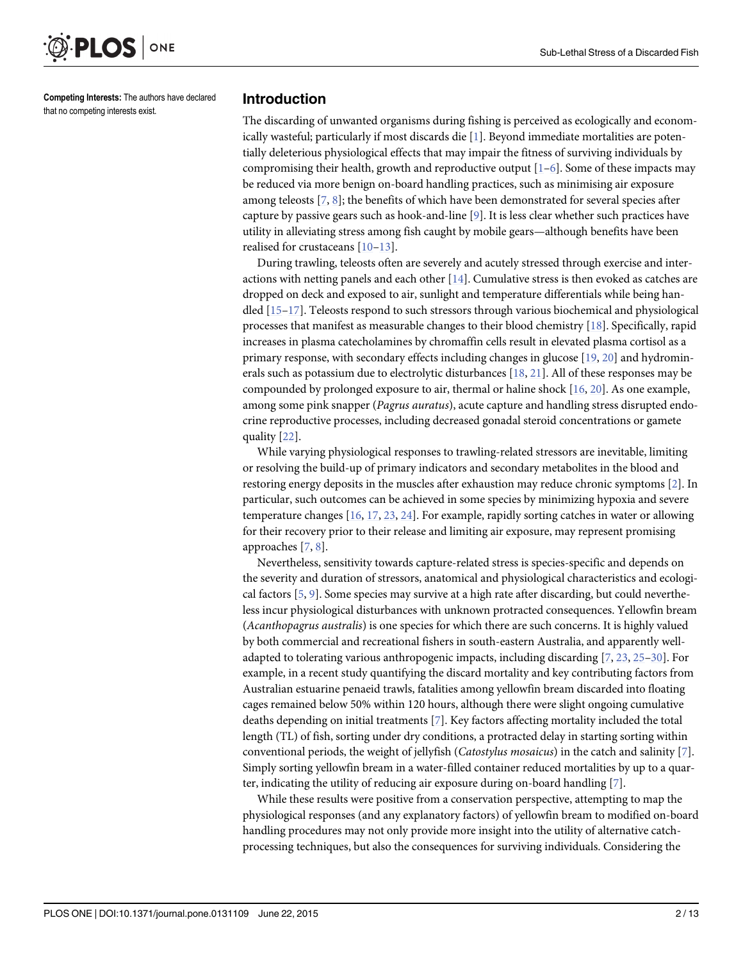<span id="page-1-0"></span>

Competing Interests: The authors have declared that no competing interests exist.

#### Introduction

The discarding of unwanted organisms during fishing is perceived as ecologically and economically wasteful; particularly if most discards die  $[1]$ . Beyond immediate mortalities are potentially deleterious physiological effects that may impair the fitness of surviving individuals by compromising their health, growth and reproductive output  $[1-6]$  $[1-6]$  $[1-6]$  $[1-6]$ . Some of these impacts may be reduced via more benign on-board handling practices, such as minimising air exposure among teleosts  $[7, 8]$  $[7, 8]$  $[7, 8]$  $[7, 8]$ ; the benefits of which have been demonstrated for several species after capture by passive gears such as hook-and-line [\[9](#page-10-0)]. It is less clear whether such practices have utility in alleviating stress among fish caught by mobile gears—although benefits have been realised for crustaceans [[10](#page-10-0)–[13](#page-10-0)].

During trawling, teleosts often are severely and acutely stressed through exercise and interactions with netting panels and each other  $[14]$  $[14]$  $[14]$ . Cumulative stress is then evoked as catches are dropped on deck and exposed to air, sunlight and temperature differentials while being handled [[15](#page-11-0)–[17](#page-11-0)]. Teleosts respond to such stressors through various biochemical and physiological processes that manifest as measurable changes to their blood chemistry [[18](#page-11-0)]. Specifically, rapid increases in plasma catecholamines by chromaffin cells result in elevated plasma cortisol as a primary response, with secondary effects including changes in glucose [\[19,](#page-11-0) [20\]](#page-11-0) and hydrominerals such as potassium due to electrolytic disturbances [\[18,](#page-11-0) [21\]](#page-11-0). All of these responses may be compounded by prolonged exposure to air, thermal or haline shock [\[16](#page-11-0), [20](#page-11-0)]. As one example, among some pink snapper (Pagrus auratus), acute capture and handling stress disrupted endocrine reproductive processes, including decreased gonadal steroid concentrations or gamete quality [\[22\]](#page-11-0).

While varying physiological responses to trawling-related stressors are inevitable, limiting or resolving the build-up of primary indicators and secondary metabolites in the blood and restoring energy deposits in the muscles after exhaustion may reduce chronic symptoms [[2\]](#page-10-0). In particular, such outcomes can be achieved in some species by minimizing hypoxia and severe temperature changes [\[16,](#page-11-0) [17,](#page-11-0) [23,](#page-11-0) [24\]](#page-11-0). For example, rapidly sorting catches in water or allowing for their recovery prior to their release and limiting air exposure, may represent promising approaches  $[7, 8]$  $[7, 8]$  $[7, 8]$  $[7, 8]$ .

Nevertheless, sensitivity towards capture-related stress is species-specific and depends on the severity and duration of stressors, anatomical and physiological characteristics and ecological factors  $[5, 9]$  $[5, 9]$  $[5, 9]$  $[5, 9]$ . Some species may survive at a high rate after discarding, but could nevertheless incur physiological disturbances with unknown protracted consequences. Yellowfin bream (Acanthopagrus australis) is one species for which there are such concerns. It is highly valued by both commercial and recreational fishers in south-eastern Australia, and apparently welladapted to tolerating various anthropogenic impacts, including discarding  $[7, 23, 25-30]$  $[7, 23, 25-30]$  $[7, 23, 25-30]$  $[7, 23, 25-30]$  $[7, 23, 25-30]$  $[7, 23, 25-30]$  $[7, 23, 25-30]$  $[7, 23, 25-30]$  $[7, 23, 25-30]$ . For example, in a recent study quantifying the discard mortality and key contributing factors from Australian estuarine penaeid trawls, fatalities among yellowfin bream discarded into floating cages remained below 50% within 120 hours, although there were slight ongoing cumulative deaths depending on initial treatments [\[7](#page-10-0)]. Key factors affecting mortality included the total length (TL) of fish, sorting under dry conditions, a protracted delay in starting sorting within conventional periods, the weight of jellyfish (*Catostylus mosaicus*) in the catch and salinity [[7\]](#page-10-0). Simply sorting yellowfin bream in a water-filled container reduced mortalities by up to a quarter, indicating the utility of reducing air exposure during on-board handling [[7](#page-10-0)].

While these results were positive from a conservation perspective, attempting to map the physiological responses (and any explanatory factors) of yellowfin bream to modified on-board handling procedures may not only provide more insight into the utility of alternative catchprocessing techniques, but also the consequences for surviving individuals. Considering the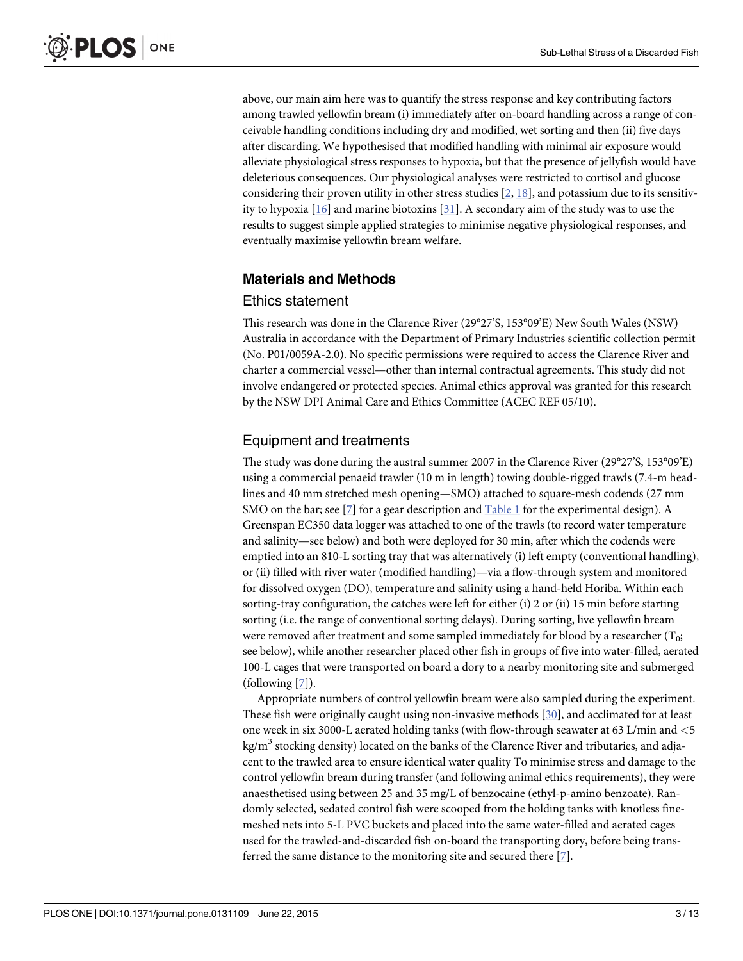<span id="page-2-0"></span>above, our main aim here was to quantify the stress response and key contributing factors among trawled yellowfin bream (i) immediately after on-board handling across a range of conceivable handling conditions including dry and modified, wet sorting and then (ii) five days after discarding. We hypothesised that modified handling with minimal air exposure would alleviate physiological stress responses to hypoxia, but that the presence of jellyfish would have deleterious consequences. Our physiological analyses were restricted to cortisol and glucose considering their proven utility in other stress studies  $[2, 18]$  $[2, 18]$  $[2, 18]$  $[2, 18]$ , and potassium due to its sensitivity to hypoxia [\[16\]](#page-11-0) and marine biotoxins [[31](#page-11-0)]. A secondary aim of the study was to use the results to suggest simple applied strategies to minimise negative physiological responses, and eventually maximise yellowfin bream welfare.

# Materials and Methods

#### Ethics statement

This research was done in the Clarence River (29°27'S, 153°09'E) New South Wales (NSW) Australia in accordance with the Department of Primary Industries scientific collection permit (No. P01/0059A-2.0). No specific permissions were required to access the Clarence River and charter a commercial vessel—other than internal contractual agreements. This study did not involve endangered or protected species. Animal ethics approval was granted for this research by the NSW DPI Animal Care and Ethics Committee (ACEC REF 05/10).

# Equipment and treatments

The study was done during the austral summer 2007 in the Clarence River (29°27'S, 153°09'E) using a commercial penaeid trawler (10 m in length) towing double-rigged trawls (7.4-m headlines and 40 mm stretched mesh opening—SMO) attached to square-mesh codends (27 mm SMO on the bar; see [[7](#page-10-0)] for a gear description and [Table 1](#page-3-0) for the experimental design). A Greenspan EC350 data logger was attached to one of the trawls (to record water temperature and salinity—see below) and both were deployed for 30 min, after which the codends were emptied into an 810-L sorting tray that was alternatively (i) left empty (conventional handling), or (ii) filled with river water (modified handling)—via a flow-through system and monitored for dissolved oxygen (DO), temperature and salinity using a hand-held Horiba. Within each sorting-tray configuration, the catches were left for either (i) 2 or (ii) 15 min before starting sorting (i.e. the range of conventional sorting delays). During sorting, live yellowfin bream were removed after treatment and some sampled immediately for blood by a researcher  $(T_0;$ see below), while another researcher placed other fish in groups of five into water-filled, aerated 100-L cages that were transported on board a dory to a nearby monitoring site and submerged  $(following [7])$  $(following [7])$  $(following [7])$ .

Appropriate numbers of control yellowfin bream were also sampled during the experiment. These fish were originally caught using non-invasive methods [[30](#page-11-0)], and acclimated for at least one week in six 3000-L aerated holding tanks (with flow-through seawater at 63 L/min and <5  $kg/m<sup>3</sup>$  stocking density) located on the banks of the Clarence River and tributaries, and adjacent to the trawled area to ensure identical water quality To minimise stress and damage to the control yellowfin bream during transfer (and following animal ethics requirements), they were anaesthetised using between 25 and 35 mg/L of benzocaine (ethyl-p-amino benzoate). Randomly selected, sedated control fish were scooped from the holding tanks with knotless finemeshed nets into 5-L PVC buckets and placed into the same water-filled and aerated cages used for the trawled-and-discarded fish on-board the transporting dory, before being transferred the same distance to the monitoring site and secured there  $[7]$  $[7]$ .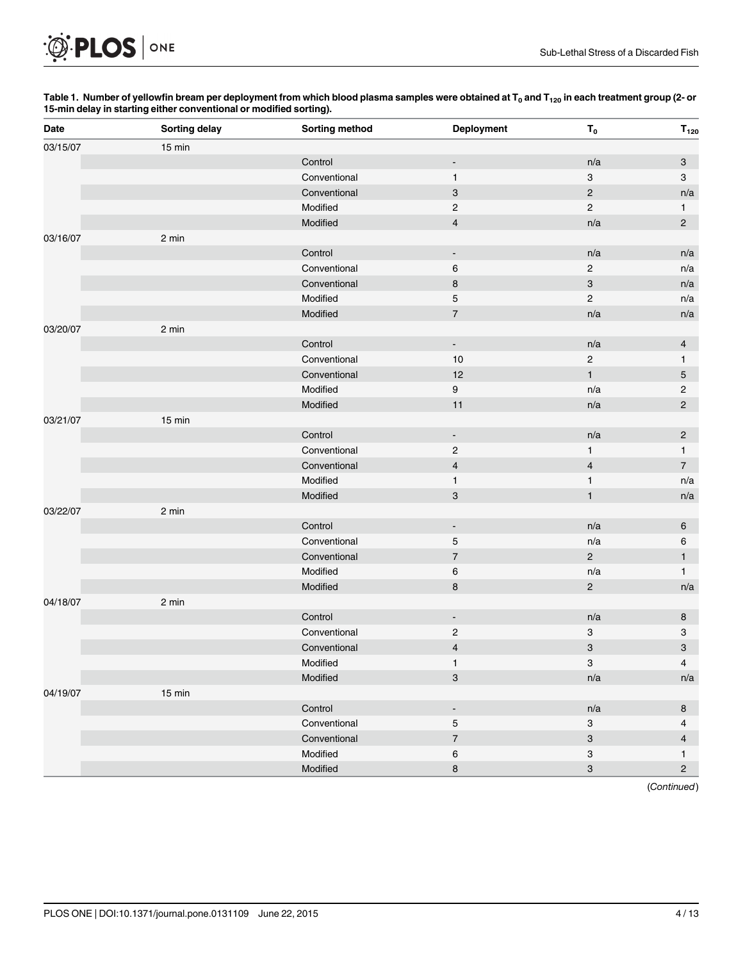<span id="page-3-0"></span>

#### [Table 1.](#page-2-0) Number of yellowfin bream per deployment from which blood plasma samples were obtained at T<sub>0</sub> and T<sub>120</sub> in each treatment group (2- or 15-min delay in starting either conventional or modified sorting).

| 03/15/07<br>15 min<br>Control<br>n/a<br>3<br>$\blacksquare$<br>Conventional<br>$\mathbf{1}$<br>$\ensuremath{\mathsf{3}}$<br>$\mathbf{3}$<br>$\sqrt{2}$<br>$\ensuremath{\mathsf{3}}$<br>Conventional<br>n/a<br>Modified<br>$\sqrt{2}$<br>$\overline{c}$<br>$\mathbf{1}$<br>Modified<br>$\overline{2}$<br>$\overline{4}$<br>n/a<br>03/16/07<br>2 min<br>Control<br>n/a<br>n/a<br>$\blacksquare$<br>6<br>$\sqrt{2}$<br>Conventional<br>n/a<br>$\bf8$<br>$\ensuremath{\mathsf{3}}$<br>Conventional<br>n/a<br>Modified<br>$\mathbf 5$<br>$\overline{c}$<br>n/a<br>$\overline{\mathcal{I}}$<br>Modified<br>n/a<br>n/a<br>2 min<br>03/20/07<br>Control<br>n/a<br>$\overline{4}$<br>$\blacksquare$<br>Conventional<br>$10$<br>$\overline{c}$<br>$\mathbf{1}$<br>12<br>$\mathbf{1}$<br>5<br>Conventional<br>9<br>Modified<br>$\overline{c}$<br>n/a<br>Modified<br>11<br>$\overline{c}$<br>n/a<br>03/21/07<br>15 min<br>Control<br>n/a<br>$\overline{2}$<br>$\blacksquare$<br>$\overline{\mathbf{c}}$<br>Conventional<br>$\mathbf{1}$<br>$\mathbf{1}$<br>$\overline{7}$<br>$\overline{\mathbf{4}}$<br>$\sqrt{4}$<br>Conventional<br>Modified<br>$\mathbf{1}$<br>$\mathbf{1}$<br>n/a<br>Modified<br>$\ensuremath{\mathsf{3}}$<br>$\mathbf{1}$<br>n/a<br>2 min<br>03/22/07<br>Control<br>n/a<br>6<br>$\blacksquare$<br>Conventional<br>$\mathbf 5$<br>n/a<br>6<br>$\overline{7}$<br>$\sqrt{2}$<br>1<br>Conventional<br>Modified<br>6<br>n/a<br>$\mathbf{1}$<br>Modified<br>8<br>$\sqrt{2}$<br>n/a<br>04/18/07<br>2 min<br>Control<br>n/a<br>8<br>$\blacksquare$<br>Conventional<br>$\overline{c}$<br>3<br>3<br>3<br>$\overline{\mathbf{4}}$<br>$\ensuremath{\mathsf{3}}$<br>Conventional<br>3<br>Modified<br>$\mathbf{1}$<br>$\overline{4}$<br>$\ensuremath{\mathsf{3}}$<br>Modified<br>n/a<br>n/a<br>04/19/07<br>15 min<br>Control<br>n/a<br>8<br>$\blacksquare$<br>Conventional<br>$\mathbf 5$<br>$\ensuremath{\mathsf{3}}$<br>4<br>$\overline{\mathcal{I}}$<br>$\ensuremath{\mathsf{3}}$<br>Conventional<br>$\overline{4}$<br>Modified<br>6<br>$\ensuremath{\mathsf{3}}$<br>$\mathbf{1}$<br>Modified<br>$\bf8$<br>$\ensuremath{\mathsf{3}}$<br>$\overline{c}$ | Date | Sorting delay | Sorting method | <b>Deployment</b> | $T_0$ | $T_{120}$ |
|------------------------------------------------------------------------------------------------------------------------------------------------------------------------------------------------------------------------------------------------------------------------------------------------------------------------------------------------------------------------------------------------------------------------------------------------------------------------------------------------------------------------------------------------------------------------------------------------------------------------------------------------------------------------------------------------------------------------------------------------------------------------------------------------------------------------------------------------------------------------------------------------------------------------------------------------------------------------------------------------------------------------------------------------------------------------------------------------------------------------------------------------------------------------------------------------------------------------------------------------------------------------------------------------------------------------------------------------------------------------------------------------------------------------------------------------------------------------------------------------------------------------------------------------------------------------------------------------------------------------------------------------------------------------------------------------------------------------------------------------------------------------------------------------------------------------------------------------------------------------------------------------------------------------------------------------------------------------------------------------------------------------------------------------------------------------------------------------------------------------------------------------------|------|---------------|----------------|-------------------|-------|-----------|
|                                                                                                                                                                                                                                                                                                                                                                                                                                                                                                                                                                                                                                                                                                                                                                                                                                                                                                                                                                                                                                                                                                                                                                                                                                                                                                                                                                                                                                                                                                                                                                                                                                                                                                                                                                                                                                                                                                                                                                                                                                                                                                                                                      |      |               |                |                   |       |           |
|                                                                                                                                                                                                                                                                                                                                                                                                                                                                                                                                                                                                                                                                                                                                                                                                                                                                                                                                                                                                                                                                                                                                                                                                                                                                                                                                                                                                                                                                                                                                                                                                                                                                                                                                                                                                                                                                                                                                                                                                                                                                                                                                                      |      |               |                |                   |       |           |
|                                                                                                                                                                                                                                                                                                                                                                                                                                                                                                                                                                                                                                                                                                                                                                                                                                                                                                                                                                                                                                                                                                                                                                                                                                                                                                                                                                                                                                                                                                                                                                                                                                                                                                                                                                                                                                                                                                                                                                                                                                                                                                                                                      |      |               |                |                   |       |           |
|                                                                                                                                                                                                                                                                                                                                                                                                                                                                                                                                                                                                                                                                                                                                                                                                                                                                                                                                                                                                                                                                                                                                                                                                                                                                                                                                                                                                                                                                                                                                                                                                                                                                                                                                                                                                                                                                                                                                                                                                                                                                                                                                                      |      |               |                |                   |       |           |
|                                                                                                                                                                                                                                                                                                                                                                                                                                                                                                                                                                                                                                                                                                                                                                                                                                                                                                                                                                                                                                                                                                                                                                                                                                                                                                                                                                                                                                                                                                                                                                                                                                                                                                                                                                                                                                                                                                                                                                                                                                                                                                                                                      |      |               |                |                   |       |           |
|                                                                                                                                                                                                                                                                                                                                                                                                                                                                                                                                                                                                                                                                                                                                                                                                                                                                                                                                                                                                                                                                                                                                                                                                                                                                                                                                                                                                                                                                                                                                                                                                                                                                                                                                                                                                                                                                                                                                                                                                                                                                                                                                                      |      |               |                |                   |       |           |
|                                                                                                                                                                                                                                                                                                                                                                                                                                                                                                                                                                                                                                                                                                                                                                                                                                                                                                                                                                                                                                                                                                                                                                                                                                                                                                                                                                                                                                                                                                                                                                                                                                                                                                                                                                                                                                                                                                                                                                                                                                                                                                                                                      |      |               |                |                   |       |           |
|                                                                                                                                                                                                                                                                                                                                                                                                                                                                                                                                                                                                                                                                                                                                                                                                                                                                                                                                                                                                                                                                                                                                                                                                                                                                                                                                                                                                                                                                                                                                                                                                                                                                                                                                                                                                                                                                                                                                                                                                                                                                                                                                                      |      |               |                |                   |       |           |
|                                                                                                                                                                                                                                                                                                                                                                                                                                                                                                                                                                                                                                                                                                                                                                                                                                                                                                                                                                                                                                                                                                                                                                                                                                                                                                                                                                                                                                                                                                                                                                                                                                                                                                                                                                                                                                                                                                                                                                                                                                                                                                                                                      |      |               |                |                   |       |           |
|                                                                                                                                                                                                                                                                                                                                                                                                                                                                                                                                                                                                                                                                                                                                                                                                                                                                                                                                                                                                                                                                                                                                                                                                                                                                                                                                                                                                                                                                                                                                                                                                                                                                                                                                                                                                                                                                                                                                                                                                                                                                                                                                                      |      |               |                |                   |       |           |
|                                                                                                                                                                                                                                                                                                                                                                                                                                                                                                                                                                                                                                                                                                                                                                                                                                                                                                                                                                                                                                                                                                                                                                                                                                                                                                                                                                                                                                                                                                                                                                                                                                                                                                                                                                                                                                                                                                                                                                                                                                                                                                                                                      |      |               |                |                   |       |           |
|                                                                                                                                                                                                                                                                                                                                                                                                                                                                                                                                                                                                                                                                                                                                                                                                                                                                                                                                                                                                                                                                                                                                                                                                                                                                                                                                                                                                                                                                                                                                                                                                                                                                                                                                                                                                                                                                                                                                                                                                                                                                                                                                                      |      |               |                |                   |       |           |
|                                                                                                                                                                                                                                                                                                                                                                                                                                                                                                                                                                                                                                                                                                                                                                                                                                                                                                                                                                                                                                                                                                                                                                                                                                                                                                                                                                                                                                                                                                                                                                                                                                                                                                                                                                                                                                                                                                                                                                                                                                                                                                                                                      |      |               |                |                   |       |           |
|                                                                                                                                                                                                                                                                                                                                                                                                                                                                                                                                                                                                                                                                                                                                                                                                                                                                                                                                                                                                                                                                                                                                                                                                                                                                                                                                                                                                                                                                                                                                                                                                                                                                                                                                                                                                                                                                                                                                                                                                                                                                                                                                                      |      |               |                |                   |       |           |
|                                                                                                                                                                                                                                                                                                                                                                                                                                                                                                                                                                                                                                                                                                                                                                                                                                                                                                                                                                                                                                                                                                                                                                                                                                                                                                                                                                                                                                                                                                                                                                                                                                                                                                                                                                                                                                                                                                                                                                                                                                                                                                                                                      |      |               |                |                   |       |           |
|                                                                                                                                                                                                                                                                                                                                                                                                                                                                                                                                                                                                                                                                                                                                                                                                                                                                                                                                                                                                                                                                                                                                                                                                                                                                                                                                                                                                                                                                                                                                                                                                                                                                                                                                                                                                                                                                                                                                                                                                                                                                                                                                                      |      |               |                |                   |       |           |
|                                                                                                                                                                                                                                                                                                                                                                                                                                                                                                                                                                                                                                                                                                                                                                                                                                                                                                                                                                                                                                                                                                                                                                                                                                                                                                                                                                                                                                                                                                                                                                                                                                                                                                                                                                                                                                                                                                                                                                                                                                                                                                                                                      |      |               |                |                   |       |           |
|                                                                                                                                                                                                                                                                                                                                                                                                                                                                                                                                                                                                                                                                                                                                                                                                                                                                                                                                                                                                                                                                                                                                                                                                                                                                                                                                                                                                                                                                                                                                                                                                                                                                                                                                                                                                                                                                                                                                                                                                                                                                                                                                                      |      |               |                |                   |       |           |
|                                                                                                                                                                                                                                                                                                                                                                                                                                                                                                                                                                                                                                                                                                                                                                                                                                                                                                                                                                                                                                                                                                                                                                                                                                                                                                                                                                                                                                                                                                                                                                                                                                                                                                                                                                                                                                                                                                                                                                                                                                                                                                                                                      |      |               |                |                   |       |           |
|                                                                                                                                                                                                                                                                                                                                                                                                                                                                                                                                                                                                                                                                                                                                                                                                                                                                                                                                                                                                                                                                                                                                                                                                                                                                                                                                                                                                                                                                                                                                                                                                                                                                                                                                                                                                                                                                                                                                                                                                                                                                                                                                                      |      |               |                |                   |       |           |
|                                                                                                                                                                                                                                                                                                                                                                                                                                                                                                                                                                                                                                                                                                                                                                                                                                                                                                                                                                                                                                                                                                                                                                                                                                                                                                                                                                                                                                                                                                                                                                                                                                                                                                                                                                                                                                                                                                                                                                                                                                                                                                                                                      |      |               |                |                   |       |           |
|                                                                                                                                                                                                                                                                                                                                                                                                                                                                                                                                                                                                                                                                                                                                                                                                                                                                                                                                                                                                                                                                                                                                                                                                                                                                                                                                                                                                                                                                                                                                                                                                                                                                                                                                                                                                                                                                                                                                                                                                                                                                                                                                                      |      |               |                |                   |       |           |
|                                                                                                                                                                                                                                                                                                                                                                                                                                                                                                                                                                                                                                                                                                                                                                                                                                                                                                                                                                                                                                                                                                                                                                                                                                                                                                                                                                                                                                                                                                                                                                                                                                                                                                                                                                                                                                                                                                                                                                                                                                                                                                                                                      |      |               |                |                   |       |           |
|                                                                                                                                                                                                                                                                                                                                                                                                                                                                                                                                                                                                                                                                                                                                                                                                                                                                                                                                                                                                                                                                                                                                                                                                                                                                                                                                                                                                                                                                                                                                                                                                                                                                                                                                                                                                                                                                                                                                                                                                                                                                                                                                                      |      |               |                |                   |       |           |
|                                                                                                                                                                                                                                                                                                                                                                                                                                                                                                                                                                                                                                                                                                                                                                                                                                                                                                                                                                                                                                                                                                                                                                                                                                                                                                                                                                                                                                                                                                                                                                                                                                                                                                                                                                                                                                                                                                                                                                                                                                                                                                                                                      |      |               |                |                   |       |           |
|                                                                                                                                                                                                                                                                                                                                                                                                                                                                                                                                                                                                                                                                                                                                                                                                                                                                                                                                                                                                                                                                                                                                                                                                                                                                                                                                                                                                                                                                                                                                                                                                                                                                                                                                                                                                                                                                                                                                                                                                                                                                                                                                                      |      |               |                |                   |       |           |
|                                                                                                                                                                                                                                                                                                                                                                                                                                                                                                                                                                                                                                                                                                                                                                                                                                                                                                                                                                                                                                                                                                                                                                                                                                                                                                                                                                                                                                                                                                                                                                                                                                                                                                                                                                                                                                                                                                                                                                                                                                                                                                                                                      |      |               |                |                   |       |           |
|                                                                                                                                                                                                                                                                                                                                                                                                                                                                                                                                                                                                                                                                                                                                                                                                                                                                                                                                                                                                                                                                                                                                                                                                                                                                                                                                                                                                                                                                                                                                                                                                                                                                                                                                                                                                                                                                                                                                                                                                                                                                                                                                                      |      |               |                |                   |       |           |
|                                                                                                                                                                                                                                                                                                                                                                                                                                                                                                                                                                                                                                                                                                                                                                                                                                                                                                                                                                                                                                                                                                                                                                                                                                                                                                                                                                                                                                                                                                                                                                                                                                                                                                                                                                                                                                                                                                                                                                                                                                                                                                                                                      |      |               |                |                   |       |           |
|                                                                                                                                                                                                                                                                                                                                                                                                                                                                                                                                                                                                                                                                                                                                                                                                                                                                                                                                                                                                                                                                                                                                                                                                                                                                                                                                                                                                                                                                                                                                                                                                                                                                                                                                                                                                                                                                                                                                                                                                                                                                                                                                                      |      |               |                |                   |       |           |
|                                                                                                                                                                                                                                                                                                                                                                                                                                                                                                                                                                                                                                                                                                                                                                                                                                                                                                                                                                                                                                                                                                                                                                                                                                                                                                                                                                                                                                                                                                                                                                                                                                                                                                                                                                                                                                                                                                                                                                                                                                                                                                                                                      |      |               |                |                   |       |           |
|                                                                                                                                                                                                                                                                                                                                                                                                                                                                                                                                                                                                                                                                                                                                                                                                                                                                                                                                                                                                                                                                                                                                                                                                                                                                                                                                                                                                                                                                                                                                                                                                                                                                                                                                                                                                                                                                                                                                                                                                                                                                                                                                                      |      |               |                |                   |       |           |
|                                                                                                                                                                                                                                                                                                                                                                                                                                                                                                                                                                                                                                                                                                                                                                                                                                                                                                                                                                                                                                                                                                                                                                                                                                                                                                                                                                                                                                                                                                                                                                                                                                                                                                                                                                                                                                                                                                                                                                                                                                                                                                                                                      |      |               |                |                   |       |           |
|                                                                                                                                                                                                                                                                                                                                                                                                                                                                                                                                                                                                                                                                                                                                                                                                                                                                                                                                                                                                                                                                                                                                                                                                                                                                                                                                                                                                                                                                                                                                                                                                                                                                                                                                                                                                                                                                                                                                                                                                                                                                                                                                                      |      |               |                |                   |       |           |
|                                                                                                                                                                                                                                                                                                                                                                                                                                                                                                                                                                                                                                                                                                                                                                                                                                                                                                                                                                                                                                                                                                                                                                                                                                                                                                                                                                                                                                                                                                                                                                                                                                                                                                                                                                                                                                                                                                                                                                                                                                                                                                                                                      |      |               |                |                   |       |           |
|                                                                                                                                                                                                                                                                                                                                                                                                                                                                                                                                                                                                                                                                                                                                                                                                                                                                                                                                                                                                                                                                                                                                                                                                                                                                                                                                                                                                                                                                                                                                                                                                                                                                                                                                                                                                                                                                                                                                                                                                                                                                                                                                                      |      |               |                |                   |       |           |
|                                                                                                                                                                                                                                                                                                                                                                                                                                                                                                                                                                                                                                                                                                                                                                                                                                                                                                                                                                                                                                                                                                                                                                                                                                                                                                                                                                                                                                                                                                                                                                                                                                                                                                                                                                                                                                                                                                                                                                                                                                                                                                                                                      |      |               |                |                   |       |           |
|                                                                                                                                                                                                                                                                                                                                                                                                                                                                                                                                                                                                                                                                                                                                                                                                                                                                                                                                                                                                                                                                                                                                                                                                                                                                                                                                                                                                                                                                                                                                                                                                                                                                                                                                                                                                                                                                                                                                                                                                                                                                                                                                                      |      |               |                |                   |       |           |
|                                                                                                                                                                                                                                                                                                                                                                                                                                                                                                                                                                                                                                                                                                                                                                                                                                                                                                                                                                                                                                                                                                                                                                                                                                                                                                                                                                                                                                                                                                                                                                                                                                                                                                                                                                                                                                                                                                                                                                                                                                                                                                                                                      |      |               |                |                   |       |           |
|                                                                                                                                                                                                                                                                                                                                                                                                                                                                                                                                                                                                                                                                                                                                                                                                                                                                                                                                                                                                                                                                                                                                                                                                                                                                                                                                                                                                                                                                                                                                                                                                                                                                                                                                                                                                                                                                                                                                                                                                                                                                                                                                                      |      |               |                |                   |       |           |
|                                                                                                                                                                                                                                                                                                                                                                                                                                                                                                                                                                                                                                                                                                                                                                                                                                                                                                                                                                                                                                                                                                                                                                                                                                                                                                                                                                                                                                                                                                                                                                                                                                                                                                                                                                                                                                                                                                                                                                                                                                                                                                                                                      |      |               |                |                   |       |           |
|                                                                                                                                                                                                                                                                                                                                                                                                                                                                                                                                                                                                                                                                                                                                                                                                                                                                                                                                                                                                                                                                                                                                                                                                                                                                                                                                                                                                                                                                                                                                                                                                                                                                                                                                                                                                                                                                                                                                                                                                                                                                                                                                                      |      |               |                |                   |       |           |

(Continued)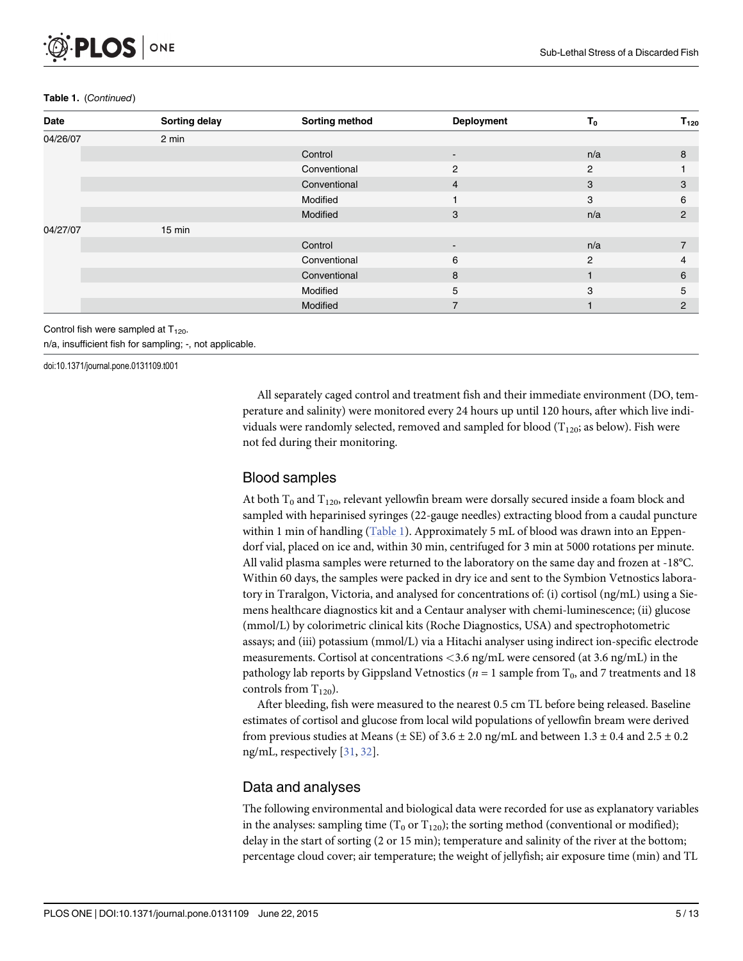#### <span id="page-4-0"></span>Table 1. (Continued)

| Date     | Sorting delay | Sorting method | <b>Deployment</b> | т.  | $\mathsf{T}_{120}$ |
|----------|---------------|----------------|-------------------|-----|--------------------|
| 04/26/07 | 2 min         |                |                   |     |                    |
|          |               | Control        | $\blacksquare$    | n/a | 8                  |
|          |               | Conventional   | $\overline{2}$    | 2   |                    |
|          |               | Conventional   | $\overline{4}$    | 3   | 3                  |
|          |               | Modified       |                   | 3   | 6                  |
|          |               | Modified       | 3                 | n/a | $\overline{2}$     |
| 04/27/07 | 15 min        |                |                   |     |                    |
|          |               | Control        | $\sim$            | n/a | $\overline{7}$     |
|          |               | Conventional   | 6                 | 2   | 4                  |
|          |               | Conventional   | 8                 |     | 6                  |
|          |               | Modified       | 5                 | 3   | 5                  |
|          |               | Modified       | $\overline{ }$    |     | $\overline{2}$     |

Control fish were sampled at  $T_{120}$ .

n/a, insufficient fish for sampling; -, not applicable.

doi:10.1371/journal.pone.0131109.t001

All separately caged control and treatment fish and their immediate environment (DO, temperature and salinity) were monitored every 24 hours up until 120 hours, after which live individuals were randomly selected, removed and sampled for blood ( $T_{120}$ ; as below). Fish were not fed during their monitoring.

### Blood samples

At both  $T_0$  and  $T_{120}$ , relevant yellowfin bream were dorsally secured inside a foam block and sampled with heparinised syringes (22-gauge needles) extracting blood from a caudal puncture within 1 min of handling  $(Table 1)$  $(Table 1)$ . Approximately 5 mL of blood was drawn into an Eppendorf vial, placed on ice and, within 30 min, centrifuged for 3 min at 5000 rotations per minute. All valid plasma samples were returned to the laboratory on the same day and frozen at -18°C. Within 60 days, the samples were packed in dry ice and sent to the Symbion Vetnostics laboratory in Traralgon, Victoria, and analysed for concentrations of: (i) cortisol (ng/mL) using a Siemens healthcare diagnostics kit and a Centaur analyser with chemi-luminescence; (ii) glucose (mmol/L) by colorimetric clinical kits (Roche Diagnostics, USA) and spectrophotometric assays; and (iii) potassium (mmol/L) via a Hitachi analyser using indirect ion-specific electrode measurements. Cortisol at concentrations <3.6 ng/mL were censored (at 3.6 ng/mL) in the pathology lab reports by Gippsland Vetnostics ( $n = 1$  sample from  $T_0$ , and 7 treatments and 18 controls from  $T_{120}$ ).

After bleeding, fish were measured to the nearest 0.5 cm TL before being released. Baseline estimates of cortisol and glucose from local wild populations of yellowfin bream were derived from previous studies at Means ( $\pm$  SE) of 3.6  $\pm$  2.0 ng/mL and between 1.3  $\pm$  0.4 and 2.5  $\pm$  0.2 ng/mL, respectively [\[31,](#page-11-0) [32\]](#page-11-0).

# Data and analyses

The following environmental and biological data were recorded for use as explanatory variables in the analyses: sampling time  $(T_0$  or  $T_{120}$ ); the sorting method (conventional or modified); delay in the start of sorting (2 or 15 min); temperature and salinity of the river at the bottom; percentage cloud cover; air temperature; the weight of jellyfish; air exposure time (min) and TL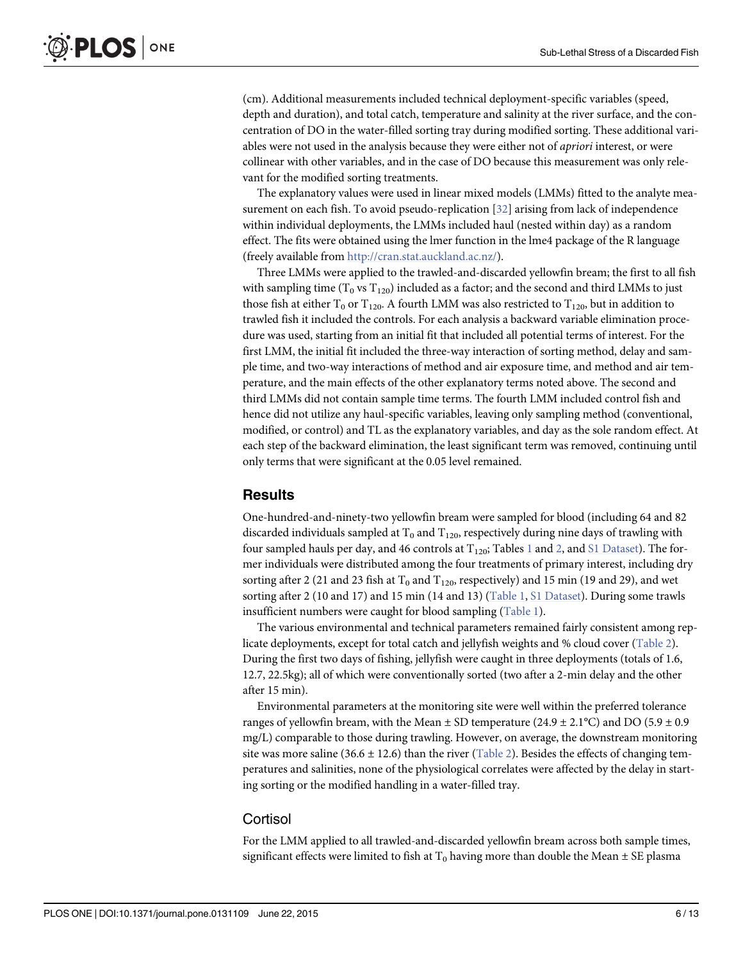<span id="page-5-0"></span>(cm). Additional measurements included technical deployment-specific variables (speed, depth and duration), and total catch, temperature and salinity at the river surface, and the concentration of DO in the water-filled sorting tray during modified sorting. These additional variables were not used in the analysis because they were either not of apriori interest, or were collinear with other variables, and in the case of DO because this measurement was only relevant for the modified sorting treatments.

The explanatory values were used in linear mixed models (LMMs) fitted to the analyte measurement on each fish. To avoid pseudo-replication [\[32\]](#page-11-0) arising from lack of independence within individual deployments, the LMMs included haul (nested within day) as a random effect. The fits were obtained using the lmer function in the lme4 package of the R language (freely available from <http://cran.stat.auckland.ac.nz/>).

Three LMMs were applied to the trawled-and-discarded yellowfin bream; the first to all fish with sampling time  $(T_0 \text{ vs } T_{120})$  included as a factor; and the second and third LMMs to just those fish at either T<sub>0</sub> or T<sub>120</sub>. A fourth LMM was also restricted to T<sub>120</sub>, but in addition to trawled fish it included the controls. For each analysis a backward variable elimination procedure was used, starting from an initial fit that included all potential terms of interest. For the first LMM, the initial fit included the three-way interaction of sorting method, delay and sample time, and two-way interactions of method and air exposure time, and method and air temperature, and the main effects of the other explanatory terms noted above. The second and third LMMs did not contain sample time terms. The fourth LMM included control fish and hence did not utilize any haul-specific variables, leaving only sampling method (conventional, modified, or control) and TL as the explanatory variables, and day as the sole random effect. At each step of the backward elimination, the least significant term was removed, continuing until only terms that were significant at the 0.05 level remained.

# **Results**

One-hundred-and-ninety-two yellowfin bream were sampled for blood (including 64 and 82 discarded individuals sampled at  $T_0$  and  $T_{120}$ , respectively during nine days of trawling with four sampled hauls per day, and 46 controls at  $T_{120}$  $T_{120}$  $T_{120}$  $T_{120}$ ; Tables 1 and 2, and [S1 Dataset](#page-10-0)). The former individuals were distributed among the four treatments of primary interest, including dry sorting after 2 (21 and 23 fish at  $T_0$  and  $T_{120}$ , respectively) and 15 min (19 and 29), and wet sorting after 2 (10 and 17) and 15 min (14 and 13) ([Table 1,](#page-3-0) [S1 Dataset\)](#page-10-0). During some trawls insufficient numbers were caught for blood sampling [\(Table 1](#page-3-0)).

The various environmental and technical parameters remained fairly consistent among replicate deployments, except for total catch and jellyfish weights and % cloud cover [\(Table 2](#page-6-0)). During the first two days of fishing, jellyfish were caught in three deployments (totals of 1.6, 12.7, 22.5kg); all of which were conventionally sorted (two after a 2-min delay and the other after 15 min).

Environmental parameters at the monitoring site were well within the preferred tolerance ranges of yellowfin bream, with the Mean  $\pm$  SD temperature (24.9  $\pm$  2.1°C) and DO (5.9  $\pm$  0.9 mg/L) comparable to those during trawling. However, on average, the downstream monitoring site was more saline (36.6  $\pm$  12.6) than the river [\(Table 2\)](#page-6-0). Besides the effects of changing temperatures and salinities, none of the physiological correlates were affected by the delay in starting sorting or the modified handling in a water-filled tray.

#### **Cortisol**

For the LMM applied to all trawled-and-discarded yellowfin bream across both sample times, significant effects were limited to fish at  $T_0$  having more than double the Mean  $\pm$  SE plasma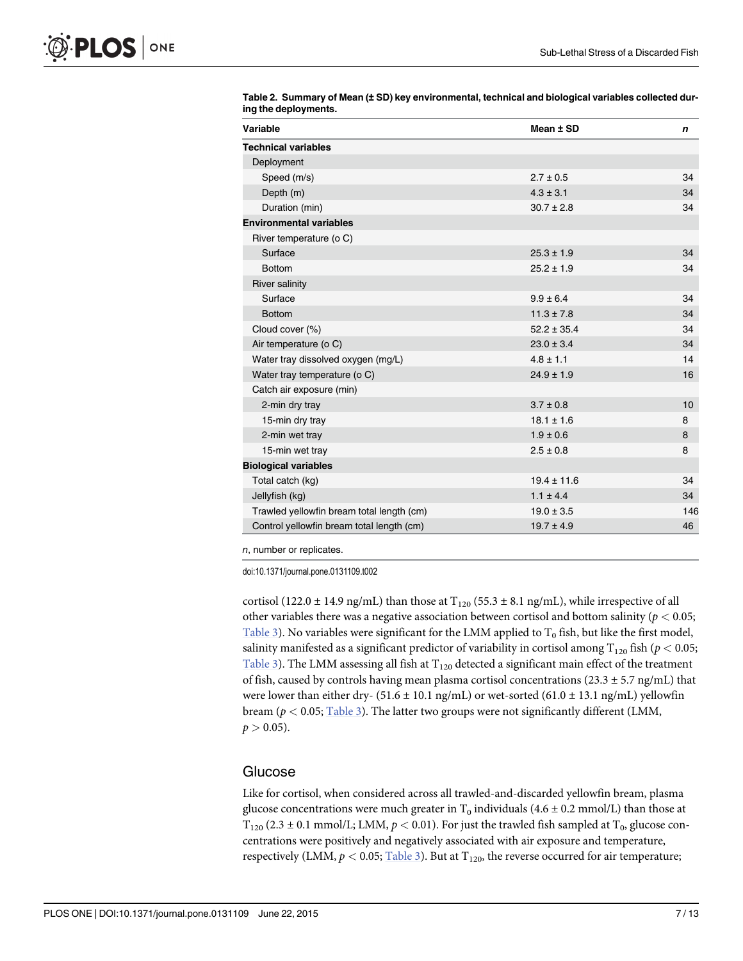| Variable                                  | Mean ± SD       | n   |
|-------------------------------------------|-----------------|-----|
| <b>Technical variables</b>                |                 |     |
| Deployment                                |                 |     |
| Speed (m/s)                               | $2.7 + 0.5$     | 34  |
| Depth (m)                                 | $4.3 \pm 3.1$   | 34  |
| Duration (min)                            | $30.7 \pm 2.8$  | 34  |
| <b>Environmental variables</b>            |                 |     |
| River temperature (o C)                   |                 |     |
| Surface                                   | $25.3 \pm 1.9$  | 34  |
| <b>Bottom</b>                             | $25.2 \pm 1.9$  | 34  |
| <b>River salinity</b>                     |                 |     |
| Surface                                   | $9.9 \pm 6.4$   | 34  |
| <b>Bottom</b>                             | $11.3 \pm 7.8$  | 34  |
| Cloud cover (%)                           | $52.2 \pm 35.4$ | 34  |
| Air temperature (o C)                     | $23.0 \pm 3.4$  | 34  |
| Water tray dissolved oxygen (mg/L)        | $4.8 \pm 1.1$   | 14  |
| Water tray temperature (o C)              | $24.9 \pm 1.9$  | 16  |
| Catch air exposure (min)                  |                 |     |
| 2-min dry tray                            | $3.7 \pm 0.8$   | 10  |
| 15-min dry tray                           | $18.1 \pm 1.6$  | 8   |
| 2-min wet tray                            | $1.9 \pm 0.6$   | 8   |
| 15-min wet tray                           | $2.5 \pm 0.8$   | 8   |
| <b>Biological variables</b>               |                 |     |
| Total catch (kg)                          | $19.4 + 11.6$   | 34  |
| Jellyfish (kg)                            | $1.1 \pm 4.4$   | 34  |
| Trawled yellowfin bream total length (cm) | $19.0 \pm 3.5$  | 146 |
| Control yellowfin bream total length (cm) | $19.7 \pm 4.9$  | 46  |

<span id="page-6-0"></span>[Table 2.](#page-5-0) Summary of Mean (± SD) key environmental, technical and biological variables collected during the deployments.

n, number or replicates.

doi:10.1371/journal.pone.0131109.t002

cortisol (122.0  $\pm$  14.9 ng/mL) than those at T<sub>120</sub> (55.3  $\pm$  8.1 ng/mL), while irrespective of all other variables there was a negative association between cortisol and bottom salinity ( $p < 0.05$ ; [Table 3](#page-7-0)). No variables were significant for the LMM applied to  $T_0$  fish, but like the first model, salinity manifested as a significant predictor of variability in cortisol among  $T_{120}$  fish ( $p < 0.05$ ; [Table 3](#page-7-0)). The LMM assessing all fish at  $T_{120}$  detected a significant main effect of the treatment of fish, caused by controls having mean plasma cortisol concentrations  $(23.3 \pm 5.7 \text{ ng/mL})$  that were lower than either dry- (51.6  $\pm$  10.1 ng/mL) or wet-sorted (61.0  $\pm$  13.1 ng/mL) yellowfin bream ( $p < 0.05$ ; [Table 3](#page-7-0)). The latter two groups were not significantly different (LMM,  $p > 0.05$ ).

#### Glucose

Like for cortisol, when considered across all trawled-and-discarded yellowfin bream, plasma glucose concentrations were much greater in T<sub>0</sub> individuals (4.6  $\pm$  0.2 mmol/L) than those at  $T_{120}$  (2.3 ± 0.1 mmol/L; LMM,  $p < 0.01$ ). For just the trawled fish sampled at T<sub>0</sub>, glucose concentrations were positively and negatively associated with air exposure and temperature, respectively (LMM,  $p < 0.05$ ; [Table 3\)](#page-7-0). But at T<sub>120</sub>, the reverse occurred for air temperature;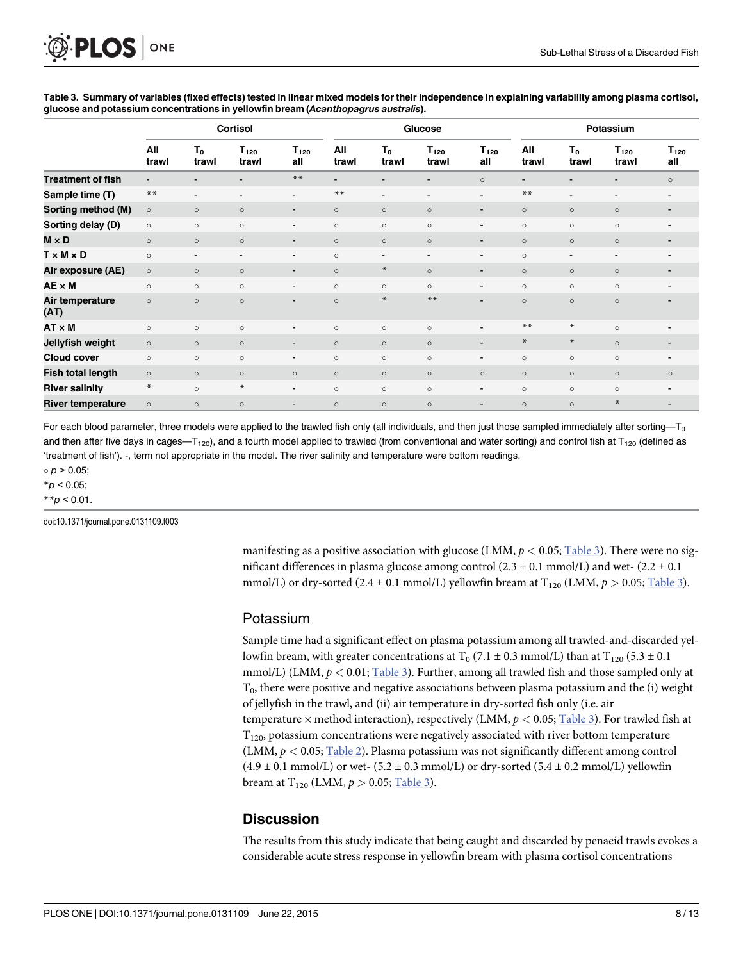|                          | <b>Cortisol</b> |                          |                          | Glucose                  |              |                          | Potassium          |                          |              |                         |                          |                          |
|--------------------------|-----------------|--------------------------|--------------------------|--------------------------|--------------|--------------------------|--------------------|--------------------------|--------------|-------------------------|--------------------------|--------------------------|
|                          | All<br>trawl    | $T_0$<br>trawl           | $T_{120}$<br>trawl       | $T_{120}$<br>all         | All<br>trawl | $T_0$<br>trawl           | $T_{120}$<br>trawl | $T_{120}$<br>all         | All<br>trawl | T <sub>0</sub><br>trawl | $T_{120}$<br>trawl       | $T_{120}$<br>all         |
| <b>Treatment of fish</b> |                 |                          | $\overline{\phantom{a}}$ | $***$                    |              |                          | $\blacksquare$     | $\circ$                  |              | -                       | $\overline{\phantom{a}}$ | $\circ$                  |
| Sample time (T)          | $***$           | $\overline{\phantom{a}}$ | $\overline{\phantom{a}}$ | $\blacksquare$           | $***$        | $\overline{\phantom{a}}$ | $\blacksquare$     | Ξ.                       | $***$        | $\sim$                  | $\overline{\phantom{0}}$ | $\blacksquare$           |
| Sorting method (M)       | $\circ$         | $\circ$                  | $\circ$                  | $\overline{\phantom{a}}$ | $\circ$      | $\circ$                  | $\circ$            | -                        | $\circ$      | $\circ$                 | $\circ$                  | $\overline{\phantom{a}}$ |
| Sorting delay (D)        | $\circ$         | $\circ$                  | $\circ$                  | $\blacksquare$           | $\circ$      | $\circ$                  | $\circ$            | -                        | $\circ$      | $\circ$                 | $\circ$                  |                          |
| $M \times D$             | $\circ$         | $\circ$                  | $\circ$                  | $\blacksquare$           | $\circ$      | $\circ$                  | $\circ$            | -                        | $\circ$      | $\circ$                 | $\circ$                  | $\overline{\phantom{a}}$ |
| $T \times M \times D$    | $\circ$         | $\overline{\phantom{a}}$ | $\blacksquare$           | $\blacksquare$           | $\circ$      | $\overline{\phantom{a}}$ | ۰                  | ۰.                       | $\circ$      | $\blacksquare$          | $\blacksquare$           | $\blacksquare$           |
| Air exposure (AE)        | $\circ$         | $\circ$                  | $\circ$                  | $\blacksquare$           | $\circ$      | $\ast$                   | $\circ$            | ۰.                       | $\circ$      | $\circ$                 | $\circ$                  | $\overline{\phantom{a}}$ |
| $AE \times M$            | $\circ$         | $\circ$                  | $\circ$                  | $\blacksquare$           | $\circ$      | $\circ$                  | $\circ$            | $\blacksquare$           | $\circ$      | $\circ$                 | $\circ$                  | $\overline{\phantom{a}}$ |
| Air temperature<br>(AT)  | $\circ$         | $\circ$                  | $\circ$                  | ۰                        | $\circ$      | $\ast$                   | $***$              | $\sim$                   | $\circ$      | $\circ$                 | $\circ$                  | $\blacksquare$           |
| $AT \times M$            | $\circ$         | $\circ$                  | $\circ$                  | ٠                        | $\circ$      | $\circ$                  | $\circ$            |                          | $***$        | $\ast$                  | $\circ$                  |                          |
| Jellyfish weight         | $\circ$         | $\circ$                  | $\circ$                  | $\blacksquare$           | $\circ$      | $\circ$                  | $\circ$            | -                        | $\ast$       | $\ast$                  | $\circ$                  | $\overline{\phantom{a}}$ |
| <b>Cloud cover</b>       | $\circ$         | $\circ$                  | $\circ$                  | ٠                        | $\circ$      | $\circ$                  | $\circ$            |                          | $\circ$      | $\circ$                 | $\circ$                  |                          |
| <b>Fish total length</b> | $\circ$         | $\circ$                  | $\circ$                  | $\circ$                  | $\circ$      | $\circ$                  | $\circ$            | $\circ$                  | $\circ$      | $\circ$                 | $\circ$                  | $\circ$                  |
| <b>River salinity</b>    | $\ast$          | $\circ$                  | $\ast$                   | $\blacksquare$           | $\circ$      | $\circ$                  | $\circ$            | $\overline{\phantom{a}}$ | $\circ$      | $\circ$                 | $\circ$                  |                          |
| <b>River temperature</b> | $\circ$         | $\circ$                  | $\circ$                  | $\blacksquare$           | $\circ$      | $\circ$                  | $\circ$            | -                        | $\circ$      | $\circ$                 | $\ast$                   | $\overline{\phantom{a}}$ |

<span id="page-7-0"></span>[Table 3.](#page-6-0) Summary of variables (fixed effects) tested in linear mixed models for their independence in explaining variability among plasma cortisol, glucose and potassium concentrations in yellowfin bream (Acanthopagrus australis).

For each blood parameter, three models were applied to the trawled fish only (all individuals, and then just those sampled immediately after sorting—T<sub>0</sub> and then after five days in cages—T<sub>120</sub>), and a fourth model applied to trawled (from conventional and water sorting) and control fish at T<sub>120</sub> (defined as 'treatment of fish'). -, term not appropriate in the model. The river salinity and temperature were bottom readings.

 $p > 0.05$ ;

 $*_{p}$  < 0.05;

 $*$  $p$  < 0.01.

doi:10.1371/journal.pone.0131109.t003

manifesting as a positive association with glucose (LMM,  $p < 0.05$ ; Table 3). There were no significant differences in plasma glucose among control (2.3  $\pm$  0.1 mmol/L) and wet- (2.2  $\pm$  0.1 mmol/L) or dry-sorted (2.4 ± 0.1 mmol/L) yellowfin bream at  $T_{120}$  (LMM,  $p > 0.05$ ; Table 3).

#### Potassium

Sample time had a significant effect on plasma potassium among all trawled-and-discarded yellowfin bream, with greater concentrations at  $T_0$  (7.1  $\pm$  0.3 mmol/L) than at  $T_{120}$  (5.3  $\pm$  0.1 mmol/L) (LMM,  $p < 0.01$ ; Table 3). Further, among all trawled fish and those sampled only at  $T<sub>0</sub>$ , there were positive and negative associations between plasma potassium and the (i) weight of jellyfish in the trawl, and (ii) air temperature in dry-sorted fish only (i.e. air temperature  $\times$  method interaction), respectively (LMM,  $p < 0.05$ ; Table 3). For trawled fish at  $T<sub>120</sub>$ , potassium concentrations were negatively associated with river bottom temperature (LMM,  $p < 0.05$ ; [Table 2\)](#page-6-0). Plasma potassium was not significantly different among control  $(4.9 \pm 0.1 \text{ mmol/L})$  or wet-  $(5.2 \pm 0.3 \text{ mmol/L})$  or dry-sorted  $(5.4 \pm 0.2 \text{ mmol/L})$  yellowfin bream at  $T_{120}$  (LMM,  $p > 0.05$ ; Table 3).

# **Discussion**

The results from this study indicate that being caught and discarded by penaeid trawls evokes a considerable acute stress response in yellowfin bream with plasma cortisol concentrations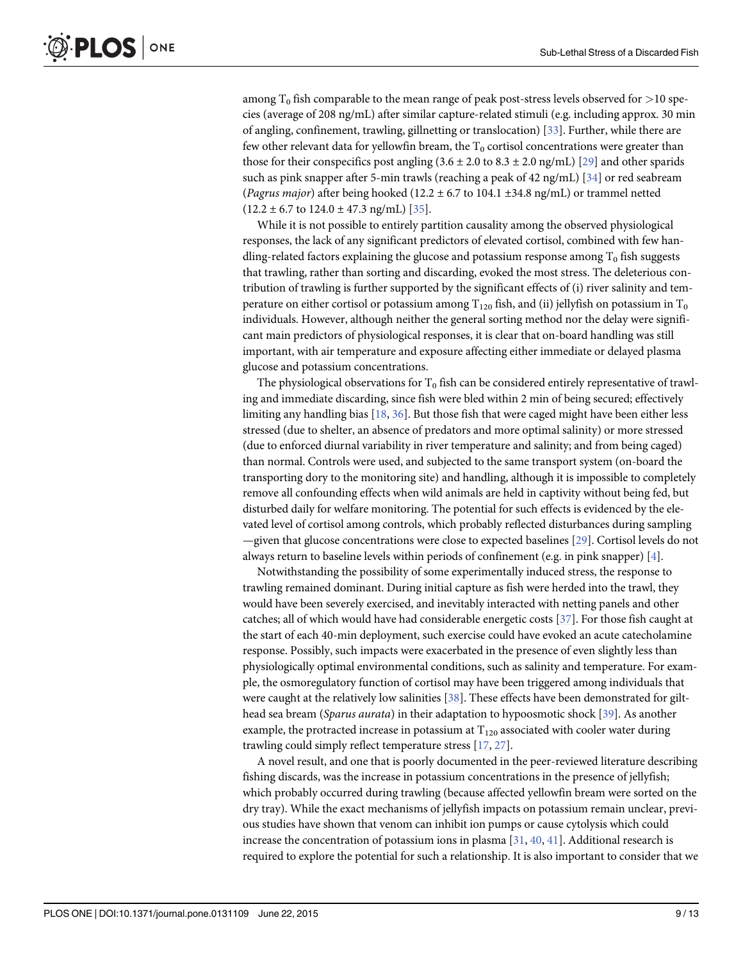<span id="page-8-0"></span>among  $T_0$  fish comparable to the mean range of peak post-stress levels observed for  $>$ 10 species (average of 208 ng/mL) after similar capture-related stimuli (e.g. including approx. 30 min of angling, confinement, trawling, gillnetting or translocation) [\[33\]](#page-11-0). Further, while there are few other relevant data for yellowfin bream, the  $T_0$  cortisol concentrations were greater than those for their conspecifics post angling  $(3.6 \pm 2.0 \text{ to } 8.3 \pm 2.0 \text{ ng/mL})$  [\[29\]](#page-11-0) and other sparids such as pink snapper after 5-min trawls (reaching a peak of 42 ng/mL) [ $34$ ] or red seabream (Pagrus major) after being hooked (12.2  $\pm$  6.7 to 104.1  $\pm$ 34.8 ng/mL) or trammel netted  $(12.2 \pm 6.7 \text{ to } 124.0 \pm 47.3 \text{ ng/mL})$  [\[35](#page-11-0)].

While it is not possible to entirely partition causality among the observed physiological responses, the lack of any significant predictors of elevated cortisol, combined with few handling-related factors explaining the glucose and potassium response among  $T_0$  fish suggests that trawling, rather than sorting and discarding, evoked the most stress. The deleterious contribution of trawling is further supported by the significant effects of (i) river salinity and temperature on either cortisol or potassium among  $T_{120}$  fish, and (ii) jellyfish on potassium in  $T_0$ individuals. However, although neither the general sorting method nor the delay were significant main predictors of physiological responses, it is clear that on-board handling was still important, with air temperature and exposure affecting either immediate or delayed plasma glucose and potassium concentrations.

The physiological observations for  $T_0$  fish can be considered entirely representative of trawling and immediate discarding, since fish were bled within 2 min of being secured; effectively limiting any handling bias  $[18, 36]$  $[18, 36]$  $[18, 36]$ . But those fish that were caged might have been either less stressed (due to shelter, an absence of predators and more optimal salinity) or more stressed (due to enforced diurnal variability in river temperature and salinity; and from being caged) than normal. Controls were used, and subjected to the same transport system (on-board the transporting dory to the monitoring site) and handling, although it is impossible to completely remove all confounding effects when wild animals are held in captivity without being fed, but disturbed daily for welfare monitoring. The potential for such effects is evidenced by the elevated level of cortisol among controls, which probably reflected disturbances during sampling —given that glucose concentrations were close to expected baselines [[29](#page-11-0)]. Cortisol levels do not always return to baseline levels within periods of confinement (e.g. in pink snapper) [\[4](#page-10-0)].

Notwithstanding the possibility of some experimentally induced stress, the response to trawling remained dominant. During initial capture as fish were herded into the trawl, they would have been severely exercised, and inevitably interacted with netting panels and other catches; all of which would have had considerable energetic costs [\[37](#page-11-0)]. For those fish caught at the start of each 40-min deployment, such exercise could have evoked an acute catecholamine response. Possibly, such impacts were exacerbated in the presence of even slightly less than physiologically optimal environmental conditions, such as salinity and temperature. For example, the osmoregulatory function of cortisol may have been triggered among individuals that were caught at the relatively low salinities [\[38\]](#page-12-0). These effects have been demonstrated for gilt-head sea bream (Sparus aurata) in their adaptation to hypoosmotic shock [[39](#page-12-0)]. As another example, the protracted increase in potassium at  $T_{120}$  associated with cooler water during trawling could simply reflect temperature stress [[17](#page-11-0), [27](#page-11-0)].

A novel result, and one that is poorly documented in the peer-reviewed literature describing fishing discards, was the increase in potassium concentrations in the presence of jellyfish; which probably occurred during trawling (because affected yellowfin bream were sorted on the dry tray). While the exact mechanisms of jellyfish impacts on potassium remain unclear, previous studies have shown that venom can inhibit ion pumps or cause cytolysis which could increase the concentration of potassium ions in plasma  $[31, 40, 41]$  $[31, 40, 41]$  $[31, 40, 41]$  $[31, 40, 41]$  $[31, 40, 41]$ . Additional research is required to explore the potential for such a relationship. It is also important to consider that we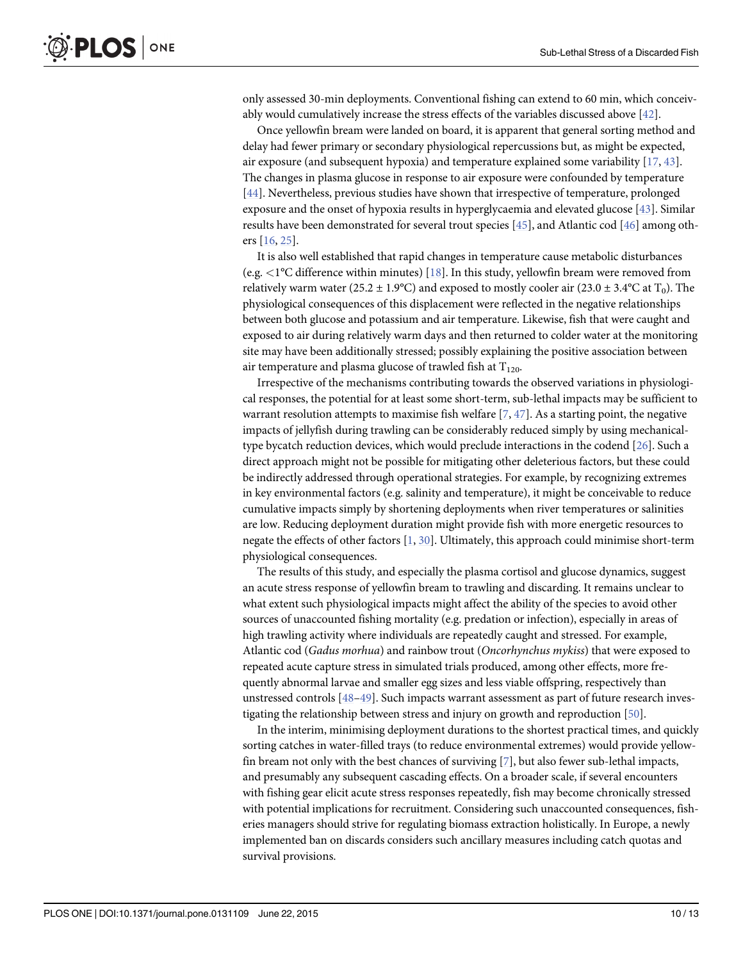<span id="page-9-0"></span>only assessed 30-min deployments. Conventional fishing can extend to 60 min, which conceivably would cumulatively increase the stress effects of the variables discussed above [[42](#page-12-0)].

Once yellowfin bream were landed on board, it is apparent that general sorting method and delay had fewer primary or secondary physiological repercussions but, as might be expected, air exposure (and subsequent hypoxia) and temperature explained some variability [\[17,](#page-11-0) [43\]](#page-12-0). The changes in plasma glucose in response to air exposure were confounded by temperature [\[44](#page-12-0)]. Nevertheless, previous studies have shown that irrespective of temperature, prolonged exposure and the onset of hypoxia results in hyperglycaemia and elevated glucose [[43\]](#page-12-0). Similar results have been demonstrated for several trout species  $[45]$ , and Atlantic cod  $[46]$  among others [\[16,](#page-11-0) [25\]](#page-11-0).

It is also well established that rapid changes in temperature cause metabolic disturbances (e.g.  $\lt$ 1°C difference within minutes) [\[18\]](#page-11-0). In this study, yellowfin bream were removed from relatively warm water (25.2  $\pm$  1.9°C) and exposed to mostly cooler air (23.0  $\pm$  3.4°C at T<sub>0</sub>). The physiological consequences of this displacement were reflected in the negative relationships between both glucose and potassium and air temperature. Likewise, fish that were caught and exposed to air during relatively warm days and then returned to colder water at the monitoring site may have been additionally stressed; possibly explaining the positive association between air temperature and plasma glucose of trawled fish at  $T_{120}$ .

Irrespective of the mechanisms contributing towards the observed variations in physiological responses, the potential for at least some short-term, sub-lethal impacts may be sufficient to warrant resolution attempts to maximise fish welfare  $[7, 47]$  $[7, 47]$  $[7, 47]$  $[7, 47]$ . As a starting point, the negative impacts of jellyfish during trawling can be considerably reduced simply by using mechanicaltype bycatch reduction devices, which would preclude interactions in the codend [[26](#page-11-0)]. Such a direct approach might not be possible for mitigating other deleterious factors, but these could be indirectly addressed through operational strategies. For example, by recognizing extremes in key environmental factors (e.g. salinity and temperature), it might be conceivable to reduce cumulative impacts simply by shortening deployments when river temperatures or salinities are low. Reducing deployment duration might provide fish with more energetic resources to negate the effects of other factors [[1,](#page-10-0) [30\]](#page-11-0). Ultimately, this approach could minimise short-term physiological consequences.

The results of this study, and especially the plasma cortisol and glucose dynamics, suggest an acute stress response of yellowfin bream to trawling and discarding. It remains unclear to what extent such physiological impacts might affect the ability of the species to avoid other sources of unaccounted fishing mortality (e.g. predation or infection), especially in areas of high trawling activity where individuals are repeatedly caught and stressed. For example, Atlantic cod (Gadus morhua) and rainbow trout (Oncorhynchus mykiss) that were exposed to repeated acute capture stress in simulated trials produced, among other effects, more frequently abnormal larvae and smaller egg sizes and less viable offspring, respectively than unstressed controls [\[48](#page-12-0)–[49](#page-12-0)]. Such impacts warrant assessment as part of future research investigating the relationship between stress and injury on growth and reproduction [[50](#page-12-0)].

In the interim, minimising deployment durations to the shortest practical times, and quickly sorting catches in water-filled trays (to reduce environmental extremes) would provide yellowfin bream not only with the best chances of surviving  $[7]$  $[7]$ , but also fewer sub-lethal impacts, and presumably any subsequent cascading effects. On a broader scale, if several encounters with fishing gear elicit acute stress responses repeatedly, fish may become chronically stressed with potential implications for recruitment. Considering such unaccounted consequences, fisheries managers should strive for regulating biomass extraction holistically. In Europe, a newly implemented ban on discards considers such ancillary measures including catch quotas and survival provisions.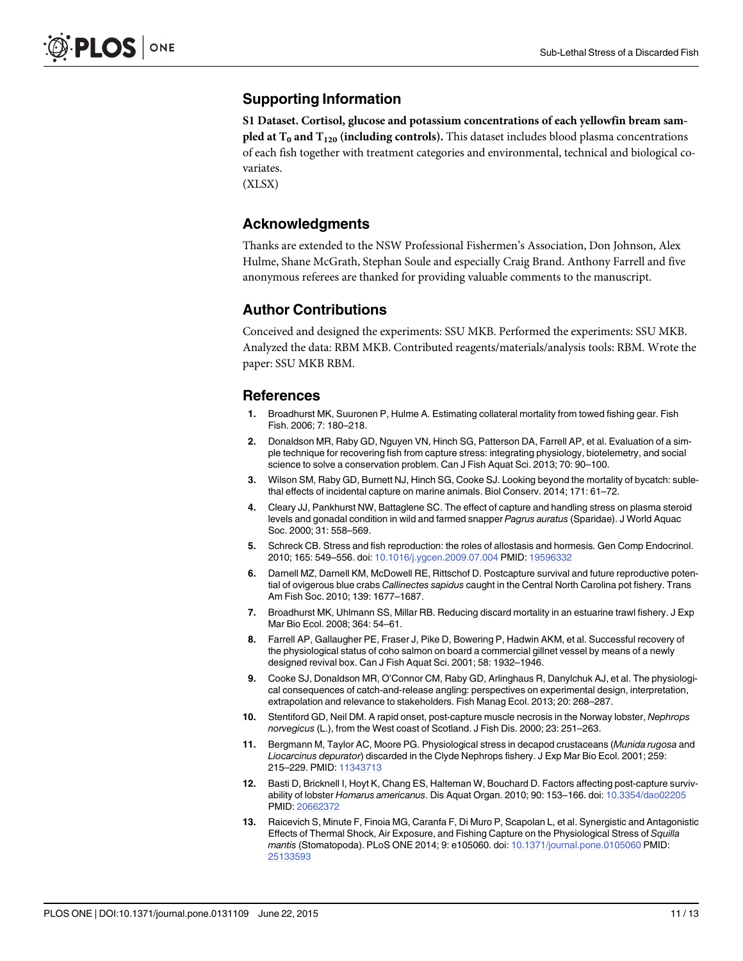# <span id="page-10-0"></span>Supporting Information

[S1 Dataset.](http://www.plosone.org/article/fetchSingleRepresentation.action?uri=info:doi/10.1371/journal.pone.0131109.s001) Cortisol, glucose and potassium concentrations of each yellowfin bream sam**pled at T<sub>0</sub> and T<sub>120</sub> (including controls).** This dataset includes blood plasma concentrations of each fish together with treatment categories and environmental, technical and biological covariates.

(XLSX)

#### Acknowledgments

Thanks are extended to the NSW Professional Fishermen's Association, Don Johnson, Alex Hulme, Shane McGrath, Stephan Soule and especially Craig Brand. Anthony Farrell and five anonymous referees are thanked for providing valuable comments to the manuscript.

#### Author Contributions

Conceived and designed the experiments: SSU MKB. Performed the experiments: SSU MKB. Analyzed the data: RBM MKB. Contributed reagents/materials/analysis tools: RBM. Wrote the paper: SSU MKB RBM.

#### References

- [1.](#page-1-0) Broadhurst MK, Suuronen P, Hulme A. Estimating collateral mortality from towed fishing gear. Fish Fish. 2006; 7: 180–218.
- [2.](#page-1-0) Donaldson MR, Raby GD, Nguyen VN, Hinch SG, Patterson DA, Farrell AP, et al. Evaluation of a simple technique for recovering fish from capture stress: integrating physiology, biotelemetry, and social science to solve a conservation problem. Can J Fish Aquat Sci. 2013; 70: 90–100.
- 3. Wilson SM, Raby GD, Burnett NJ, Hinch SG, Cooke SJ. Looking beyond the mortality of bycatch: sublethal effects of incidental capture on marine animals. Biol Conserv. 2014; 171: 61–72.
- [4.](#page-8-0) Cleary JJ, Pankhurst NW, Battaglene SC. The effect of capture and handling stress on plasma steroid levels and gonadal condition in wild and farmed snapper Pagrus auratus (Sparidae). J World Aquac Soc. 2000; 31: 558–569.
- [5.](#page-1-0) Schreck CB. Stress and fish reproduction: the roles of allostasis and hormesis. Gen Comp Endocrinol. 2010; 165: 549–556. doi: [10.1016/j.ygcen.2009.07.004](http://dx.doi.org/10.1016/j.ygcen.2009.07.004) PMID: [19596332](http://www.ncbi.nlm.nih.gov/pubmed/19596332)
- [6.](#page-1-0) Darnell MZ, Darnell KM, McDowell RE, Rittschof D. Postcapture survival and future reproductive potential of ovigerous blue crabs Callinectes sapidus caught in the Central North Carolina pot fishery. Trans Am Fish Soc. 2010; 139: 1677–1687.
- [7.](#page-1-0) Broadhurst MK, Uhlmann SS, Millar RB. Reducing discard mortality in an estuarine trawl fishery. J Exp Mar Bio Ecol. 2008; 364: 54–61.
- [8.](#page-1-0) Farrell AP, Gallaugher PE, Fraser J, Pike D, Bowering P, Hadwin AKM, et al. Successful recovery of the physiological status of coho salmon on board a commercial gillnet vessel by means of a newly designed revival box. Can J Fish Aquat Sci. 2001; 58: 1932–1946.
- [9.](#page-1-0) Cooke SJ, Donaldson MR, O'Connor CM, Raby GD, Arlinghaus R, Danylchuk AJ, et al. The physiological consequences of catch-and-release angling: perspectives on experimental design, interpretation, extrapolation and relevance to stakeholders. Fish Manag Ecol. 2013; 20: 268–287.
- [10.](#page-1-0) Stentiford GD, Neil DM. A rapid onset, post-capture muscle necrosis in the Norway lobster, Nephrops norvegicus (L.), from the West coast of Scotland. J Fish Dis. 2000; 23: 251–263.
- 11. Bergmann M, Taylor AC, Moore PG. Physiological stress in decapod crustaceans (Munida rugosa and Liocarcinus depurator) discarded in the Clyde Nephrops fishery. J Exp Mar Bio Ecol. 2001; 259: 215–229. PMID: [11343713](http://www.ncbi.nlm.nih.gov/pubmed/11343713)
- 12. Basti D, Bricknell I, Hoyt K, Chang ES, Halteman W, Bouchard D. Factors affecting post-capture survivability of lobster Homarus americanus. Dis Aquat Organ. 2010; 90: 153–166. doi: [10.3354/dao02205](http://dx.doi.org/10.3354/dao02205) PMID: [20662372](http://www.ncbi.nlm.nih.gov/pubmed/20662372)
- [13.](#page-1-0) Raicevich S, Minute F, Finoia MG, Caranfa F, Di Muro P, Scapolan L, et al. Synergistic and Antagonistic Effects of Thermal Shock, Air Exposure, and Fishing Capture on the Physiological Stress of Squilla mantis (Stomatopoda). PLoS ONE 2014; 9: e105060. doi: [10.1371/journal.pone.0105060](http://dx.doi.org/10.1371/journal.pone.0105060) PMID: [25133593](http://www.ncbi.nlm.nih.gov/pubmed/25133593)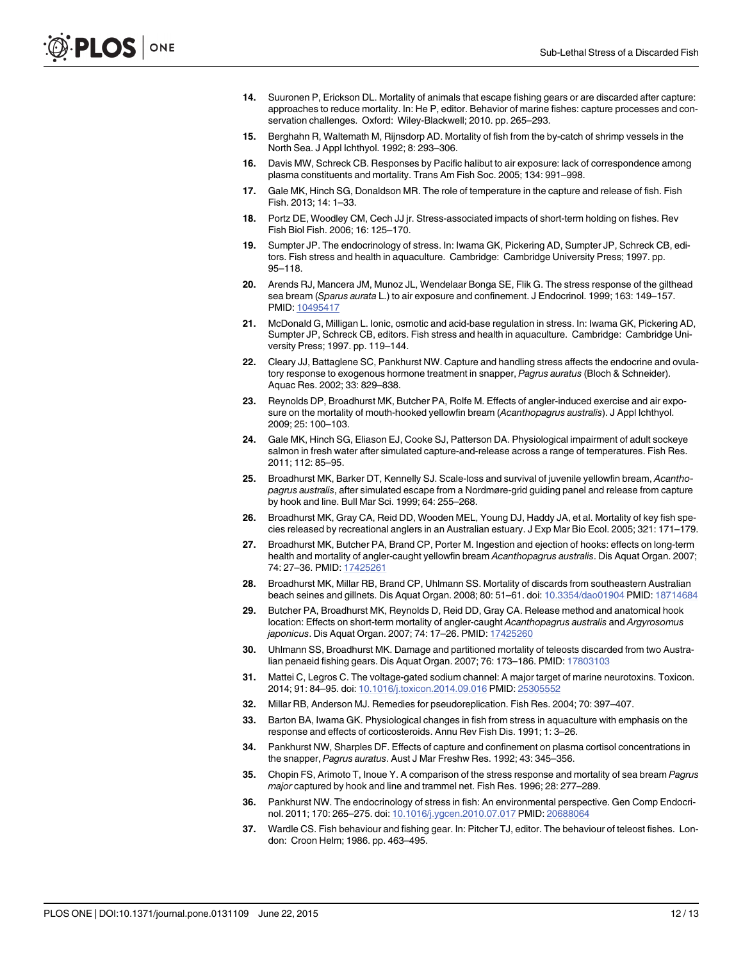- <span id="page-11-0"></span>[14.](#page-1-0) Suuronen P, Erickson DL. Mortality of animals that escape fishing gears or are discarded after capture: approaches to reduce mortality. In: He P, editor. Behavior of marine fishes: capture processes and conservation challenges. Oxford: Wiley-Blackwell; 2010. pp. 265–293.
- [15.](#page-1-0) Berghahn R, Waltemath M, Rijnsdorp AD. Mortality of fish from the by-catch of shrimp vessels in the North Sea. J Appl Ichthyol. 1992; 8: 293–306.
- [16.](#page-1-0) Davis MW, Schreck CB. Responses by Pacific halibut to air exposure: lack of correspondence among plasma constituents and mortality. Trans Am Fish Soc. 2005; 134: 991–998.
- [17.](#page-1-0) Gale MK, Hinch SG, Donaldson MR. The role of temperature in the capture and release of fish. Fish Fish. 2013; 14: 1–33.
- [18.](#page-1-0) Portz DE, Woodley CM, Cech JJ jr. Stress-associated impacts of short-term holding on fishes. Rev Fish Biol Fish. 2006; 16: 125–170.
- [19.](#page-1-0) Sumpter JP. The endocrinology of stress. In: Iwama GK, Pickering AD, Sumpter JP, Schreck CB, editors. Fish stress and health in aquaculture. Cambridge: Cambridge University Press; 1997. pp. 95–118.
- [20.](#page-1-0) Arends RJ, Mancera JM, Munoz JL, Wendelaar Bonga SE, Flik G. The stress response of the gilthead sea bream (Sparus aurata L.) to air exposure and confinement. J Endocrinol. 1999; 163: 149–157. PMID: [10495417](http://www.ncbi.nlm.nih.gov/pubmed/10495417)
- [21.](#page-1-0) McDonald G, Milligan L. Ionic, osmotic and acid-base regulation in stress. In: Iwama GK, Pickering AD, Sumpter JP, Schreck CB, editors. Fish stress and health in aquaculture. Cambridge: Cambridge University Press; 1997. pp. 119–144.
- [22.](#page-1-0) Cleary JJ, Battaglene SC, Pankhurst NW. Capture and handling stress affects the endocrine and ovulatory response to exogenous hormone treatment in snapper, Pagrus auratus (Bloch & Schneider). Aquac Res. 2002; 33: 829–838.
- [23.](#page-1-0) Reynolds DP, Broadhurst MK, Butcher PA, Rolfe M. Effects of angler-induced exercise and air exposure on the mortality of mouth-hooked yellowfin bream (Acanthopagrus australis). J Appl Ichthyol. 2009; 25: 100–103.
- [24.](#page-1-0) Gale MK, Hinch SG, Eliason EJ, Cooke SJ, Patterson DA. Physiological impairment of adult sockeye salmon in fresh water after simulated capture-and-release across a range of temperatures. Fish Res. 2011; 112: 85–95.
- [25.](#page-1-0) Broadhurst MK, Barker DT, Kennelly SJ. Scale-loss and survival of juvenile yellowfin bream, Acanthopagrus australis, after simulated escape from a Nordmøre-grid guiding panel and release from capture by hook and line. Bull Mar Sci. 1999; 64: 255–268.
- [26.](#page-9-0) Broadhurst MK, Gray CA, Reid DD, Wooden MEL, Young DJ, Haddy JA, et al. Mortality of key fish species released by recreational anglers in an Australian estuary. J Exp Mar Bio Ecol. 2005; 321: 171–179.
- [27.](#page-8-0) Broadhurst MK, Butcher PA, Brand CP, Porter M. Ingestion and ejection of hooks: effects on long-term health and mortality of angler-caught yellowfin bream Acanthopagrus australis. Dis Aquat Organ. 2007; 74: 27–36. PMID: [17425261](http://www.ncbi.nlm.nih.gov/pubmed/17425261)
- 28. Broadhurst MK, Millar RB, Brand CP, Uhlmann SS. Mortality of discards from southeastern Australian beach seines and gillnets. Dis Aquat Organ. 2008; 80: 51–61. doi: [10.3354/dao01904](http://dx.doi.org/10.3354/dao01904) PMID: [18714684](http://www.ncbi.nlm.nih.gov/pubmed/18714684)
- [29.](#page-8-0) Butcher PA, Broadhurst MK, Reynolds D, Reid DD, Gray CA. Release method and anatomical hook location: Effects on short-term mortality of angler-caught Acanthopagrus australis and Argyrosomus japonicus. Dis Aquat Organ. 2007; 74: 17-26. PMID: [17425260](http://www.ncbi.nlm.nih.gov/pubmed/17425260)
- [30.](#page-1-0) Uhlmann SS, Broadhurst MK. Damage and partitioned mortality of teleosts discarded from two Austra-lian penaeid fishing gears. Dis Aquat Organ. 2007; 76: 173-186. PMID: [17803103](http://www.ncbi.nlm.nih.gov/pubmed/17803103)
- [31.](#page-2-0) Mattei C, Legros C. The voltage-gated sodium channel: A major target of marine neurotoxins. Toxicon. 2014; 91: 84–95. doi: [10.1016/j.toxicon.2014.09.016](http://dx.doi.org/10.1016/j.toxicon.2014.09.016) PMID: [25305552](http://www.ncbi.nlm.nih.gov/pubmed/25305552)
- [32.](#page-4-0) Millar RB, Anderson MJ. Remedies for pseudoreplication. Fish Res. 2004; 70: 397–407.
- [33.](#page-8-0) Barton BA, Iwama GK. Physiological changes in fish from stress in aquaculture with emphasis on the response and effects of corticosteroids. Annu Rev Fish Dis. 1991; 1: 3–26.
- [34.](#page-8-0) Pankhurst NW, Sharples DF. Effects of capture and confinement on plasma cortisol concentrations in the snapper, Pagrus auratus. Aust J Mar Freshw Res. 1992; 43: 345–356.
- [35.](#page-8-0) Chopin FS, Arimoto T, Inoue Y. A comparison of the stress response and mortality of sea bream Pagrus major captured by hook and line and trammel net. Fish Res. 1996; 28: 277–289.
- [36.](#page-8-0) Pankhurst NW. The endocrinology of stress in fish: An environmental perspective. Gen Comp Endocrinol. 2011; 170: 265–275. doi: [10.1016/j.ygcen.2010.07.017](http://dx.doi.org/10.1016/j.ygcen.2010.07.017) PMID: [20688064](http://www.ncbi.nlm.nih.gov/pubmed/20688064)
- [37.](#page-8-0) Wardle CS. Fish behaviour and fishing gear. In: Pitcher TJ, editor. The behaviour of teleost fishes. London: Croon Helm; 1986. pp. 463–495.